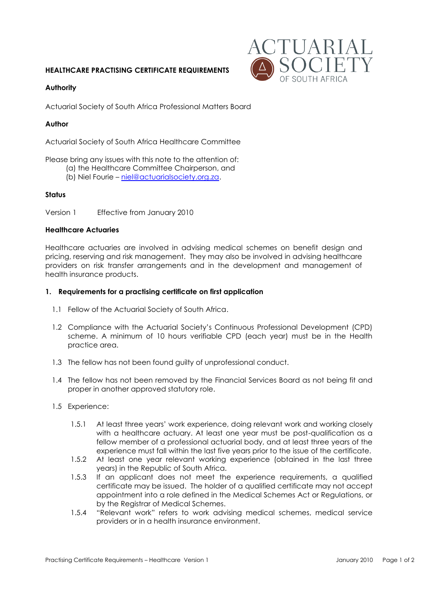# **HEALTHCARE PRACTISING CERTIFICATE REQUIREMENTS**



## **Authority**

Actuarial Society of South Africa Professional Matters Board

## **Author**

Actuarial Society of South Africa Healthcare Committee

Please bring any issues with this note to the attention of:

- (a) the Healthcare Committee Chairperson, and
	- (b) Niel Fourie [niel@actuarialsociety.org.za.](mailto:niel@actuarialsociety.org.za)

## **Status**

Version 1 Effective from January 2010

#### **Healthcare Actuaries**

Healthcare actuaries are involved in advising medical schemes on benefit design and pricing, reserving and risk management. They may also be involved in advising healthcare providers on risk transfer arrangements and in the development and management of health insurance products.

## **1. Requirements for a practising certificate on first application**

- 1.1 Fellow of the Actuarial Society of South Africa.
- 1.2 Compliance with the Actuarial Society's Continuous Professional Development (CPD) scheme. A minimum of 10 hours verifiable CPD (each year) must be in the Health practice area.
- 1.3 The fellow has not been found guilty of unprofessional conduct.
- 1.4 The fellow has not been removed by the Financial Services Board as not being fit and proper in another approved statutory role.
- 1.5 Experience:
	- 1.5.1 At least three years' work experience, doing relevant work and working closely with a healthcare actuary. At least one year must be post-qualification as a fellow member of a professional actuarial body, and at least three years of the experience must fall within the last five years prior to the issue of the certificate.
	- 1.5.2 At least one year relevant working experience (obtained in the last three years) in the Republic of South Africa.
	- 1.5.3 If an applicant does not meet the experience requirements, a qualified certificate may be issued. The holder of a qualified certificate may not accept appointment into a role defined in the Medical Schemes Act or Regulations, or by the Registrar of Medical Schemes.
	- 1.5.4 "Relevant work" refers to work advising medical schemes, medical service providers or in a health insurance environment.